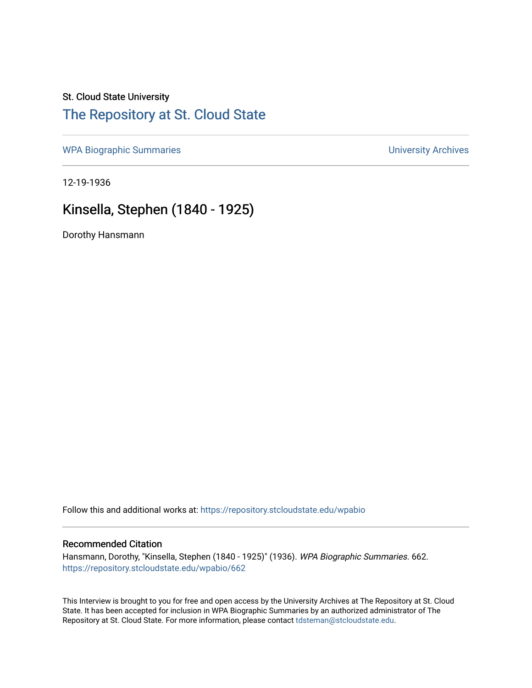# St. Cloud State University [The Repository at St. Cloud State](https://repository.stcloudstate.edu/)

[WPA Biographic Summaries](https://repository.stcloudstate.edu/wpabio) **WPA Biographic Summaries University Archives** 

12-19-1936

# Kinsella, Stephen (1840 - 1925)

Dorothy Hansmann

Follow this and additional works at: [https://repository.stcloudstate.edu/wpabio](https://repository.stcloudstate.edu/wpabio?utm_source=repository.stcloudstate.edu%2Fwpabio%2F662&utm_medium=PDF&utm_campaign=PDFCoverPages) 

### Recommended Citation

Hansmann, Dorothy, "Kinsella, Stephen (1840 - 1925)" (1936). WPA Biographic Summaries. 662. [https://repository.stcloudstate.edu/wpabio/662](https://repository.stcloudstate.edu/wpabio/662?utm_source=repository.stcloudstate.edu%2Fwpabio%2F662&utm_medium=PDF&utm_campaign=PDFCoverPages) 

This Interview is brought to you for free and open access by the University Archives at The Repository at St. Cloud State. It has been accepted for inclusion in WPA Biographic Summaries by an authorized administrator of The Repository at St. Cloud State. For more information, please contact [tdsteman@stcloudstate.edu.](mailto:tdsteman@stcloudstate.edu)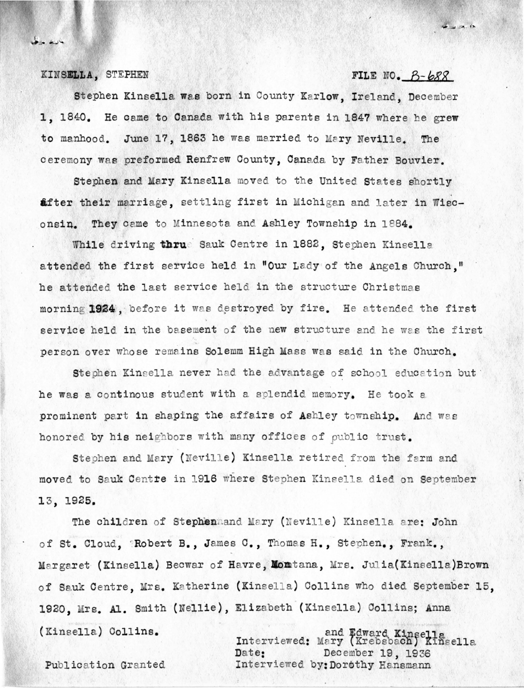#### KINSELLA, STEPHEN

بارے جات

## FILE NO.  $B - b88$

 $46 - 10$ 

Stephen Kinsella was born in County Karlow, Ireland, December 1. 1840. He came to Canada with his parents in 1847 where he grew to manhood. June 17, 1863 he was married to Mary Neville. The ceremony was preformed Renfrew County, Canada by Father Bouvier.

Stephen and Mary Kinsella moved to the United States shortly after their marriage, settling first in Michigan and later in Wisconsin. They came to Minnesota and Ashley Township in 1884.

While driving thrue Sauk Centre in 1882, Stephen Kinsella attended the first service held in "Our Lady of the Angels Church." he attended the last service held in the structure Christmas morning 1924. before it was destroyed by fire. He attended the first service held in the basement of the new structure and he was the first person over whose remains Solemm High Mass was said in the Church.

Stephen Kinsella never had the advantage of school education but he was a continous student with a splendid memory. He took a prominent part in shaping the affairs of Ashley township. And was honored by his neighbors with many offices of public trust.

Stephen and Mary (Neville) Kinsella retired from the farm and moved to Sauk Centre in 1916 where Stephen Kinsella died on September 13, 1925.

The children of Stephenmand Mary (Neville) Kinsella are: John of St. Cloud, Robert B., James C., Thomas H., Stephen., Frank., Margaret (Kinsella) Becwar of Havre, Montana, Mrs. Julia(Kinsella)Brown of Sauk Centre, Mrs. Katherine (Kinsella) Collins who died September 15, 1920, Mrs. Al. Smith (Nellie), Elizabeth (Kinsella) Collins; Anna (Kinsella) Collins.

and Edward Kinsella<br>Interviewed: Mary (Krebsbach) Kinsella December 19, 1936 Date: Interviewed by: Dorothy Hansmann

Publication Granted